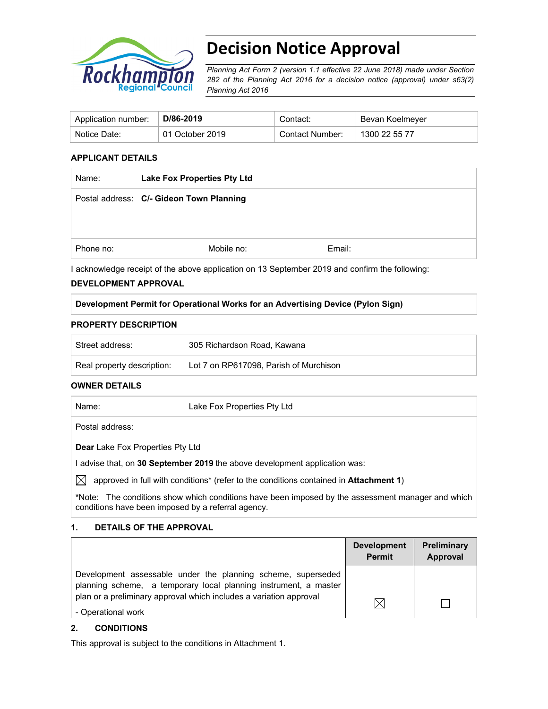

# **Decision Notice Approval**

*Planning Act Form 2 (version 1.1 effective 22 June 2018) made under Section 282 of the Planning Act 2016 for a decision notice (approval) under s63(2) Planning Act 2016*

| Application number: | D/86-2019       | Contact:        | Bevan Koelmeyer |
|---------------------|-----------------|-----------------|-----------------|
| Notice Date:        | 01 October 2019 | Contact Number: | 1300 22 55 77   |

### **APPLICANT DETAILS**

| Name:     | <b>Lake Fox Properties Pty Ltd</b>       |        |  |
|-----------|------------------------------------------|--------|--|
|           | Postal address: C/- Gideon Town Planning |        |  |
|           |                                          |        |  |
|           |                                          |        |  |
| Phone no: | Mobile no:                               | Email: |  |

I acknowledge receipt of the above application on 13 September 2019 and confirm the following:

## **DEVELOPMENT APPROVAL**

### **Development Permit for Operational Works for an Advertising Device (Pylon Sign)**

## **PROPERTY DESCRIPTION**

| Street address:            | 305 Richardson Road, Kawana            |
|----------------------------|----------------------------------------|
| Real property description: | Lot 7 on RP617098. Parish of Murchison |

#### **OWNER DETAILS**

| Name:                                                                      | Lake Fox Properties Pty Ltd |  |
|----------------------------------------------------------------------------|-----------------------------|--|
| Postal address:                                                            |                             |  |
| <b>Dear</b> Lake Fox Properties Pty Ltd                                    |                             |  |
| I advise that, on 30 September 2019 the above development application was: |                             |  |
|                                                                            |                             |  |

 $\boxtimes$  approved in full with conditions<sup>\*</sup> (refer to the conditions contained in **Attachment 1**)

**\***Note:The conditions show which conditions have been imposed by the assessment manager and which conditions have been imposed by a referral agency.

## **1. DETAILS OF THE APPROVAL**

|                                                                                                                                                                                                        | <b>Development</b><br><b>Permit</b> | Preliminary<br>Approval |
|--------------------------------------------------------------------------------------------------------------------------------------------------------------------------------------------------------|-------------------------------------|-------------------------|
| Development assessable under the planning scheme, superseded<br>planning scheme, a temporary local planning instrument, a master<br>plan or a preliminary approval which includes a variation approval |                                     |                         |
| - Operational work                                                                                                                                                                                     | IX                                  |                         |

## **2. CONDITIONS**

This approval is subject to the conditions in Attachment 1.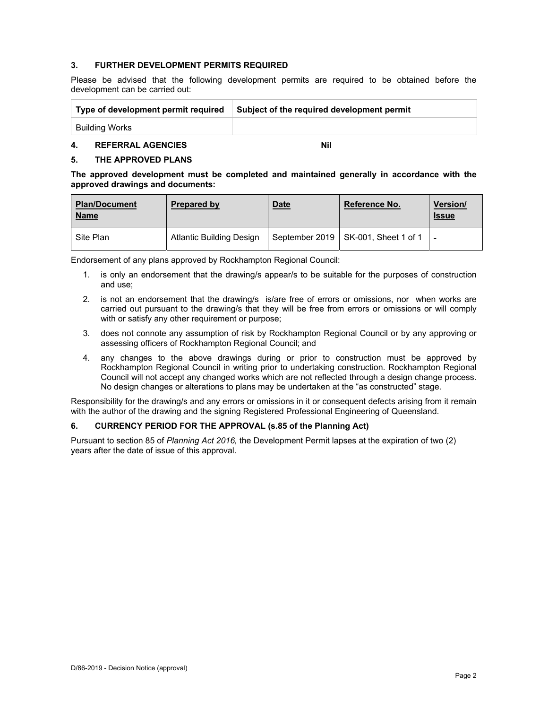### **3. FURTHER DEVELOPMENT PERMITS REQUIRED**

Please be advised that the following development permits are required to be obtained before the development can be carried out:

| Type of development permit required | Subject of the required development permit |
|-------------------------------------|--------------------------------------------|
| Building Works                      |                                            |

#### **4. REFERRAL AGENCIES Nil**

## **5. THE APPROVED PLANS**

**The approved development must be completed and maintained generally in accordance with the approved drawings and documents:** 

| <b>Plan/Document</b><br><b>Name</b> | <b>Prepared by</b>              | <b>Date</b> | <b>Reference No.</b>                  | Version/<br><b>Issue</b> |
|-------------------------------------|---------------------------------|-------------|---------------------------------------|--------------------------|
| Site Plan                           | <b>Atlantic Building Design</b> |             | September 2019   SK-001, Sheet 1 of 1 | $\qquad \qquad$          |

Endorsement of any plans approved by Rockhampton Regional Council:

- 1. is only an endorsement that the drawing/s appear/s to be suitable for the purposes of construction and use;
- 2. is not an endorsement that the drawing/s is/are free of errors or omissions, nor when works are carried out pursuant to the drawing/s that they will be free from errors or omissions or will comply with or satisfy any other requirement or purpose;
- 3. does not connote any assumption of risk by Rockhampton Regional Council or by any approving or assessing officers of Rockhampton Regional Council; and
- 4. any changes to the above drawings during or prior to construction must be approved by Rockhampton Regional Council in writing prior to undertaking construction. Rockhampton Regional Council will not accept any changed works which are not reflected through a design change process. No design changes or alterations to plans may be undertaken at the "as constructed" stage.

Responsibility for the drawing/s and any errors or omissions in it or consequent defects arising from it remain with the author of the drawing and the signing Registered Professional Engineering of Queensland.

#### **6. CURRENCY PERIOD FOR THE APPROVAL (s.85 of the Planning Act)**

Pursuant to section 85 of *Planning Act 2016,* the Development Permit lapses at the expiration of two (2) years after the date of issue of this approval.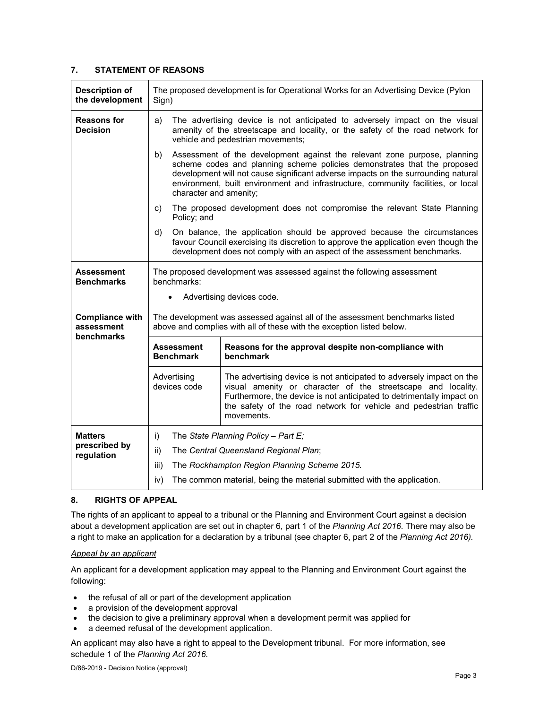## **7. STATEMENT OF REASONS**

| <b>Description of</b><br>the development           | The proposed development is for Operational Works for an Advertising Device (Pylon<br>Sign)                                                                                                                                                                                                                                     |                                                                                                                                                                                                                                                                                                                                                           |  |  |
|----------------------------------------------------|---------------------------------------------------------------------------------------------------------------------------------------------------------------------------------------------------------------------------------------------------------------------------------------------------------------------------------|-----------------------------------------------------------------------------------------------------------------------------------------------------------------------------------------------------------------------------------------------------------------------------------------------------------------------------------------------------------|--|--|
| <b>Reasons for</b><br><b>Decision</b>              | The advertising device is not anticipated to adversely impact on the visual<br>a)<br>amenity of the streetscape and locality, or the safety of the road network for<br>vehicle and pedestrian movements;                                                                                                                        |                                                                                                                                                                                                                                                                                                                                                           |  |  |
|                                                    | b)                                                                                                                                                                                                                                                                                                                              | Assessment of the development against the relevant zone purpose, planning<br>scheme codes and planning scheme policies demonstrates that the proposed<br>development will not cause significant adverse impacts on the surrounding natural<br>environment, built environment and infrastructure, community facilities, or local<br>character and amenity; |  |  |
|                                                    | c)<br>Policy; and                                                                                                                                                                                                                                                                                                               | The proposed development does not compromise the relevant State Planning                                                                                                                                                                                                                                                                                  |  |  |
|                                                    | d)                                                                                                                                                                                                                                                                                                                              | On balance, the application should be approved because the circumstances<br>favour Council exercising its discretion to approve the application even though the<br>development does not comply with an aspect of the assessment benchmarks.                                                                                                               |  |  |
| Assessment<br><b>Benchmarks</b>                    | The proposed development was assessed against the following assessment<br>benchmarks:                                                                                                                                                                                                                                           |                                                                                                                                                                                                                                                                                                                                                           |  |  |
|                                                    | Advertising devices code.<br>٠                                                                                                                                                                                                                                                                                                  |                                                                                                                                                                                                                                                                                                                                                           |  |  |
| <b>Compliance with</b><br>assessment<br>benchmarks |                                                                                                                                                                                                                                                                                                                                 | The development was assessed against all of the assessment benchmarks listed<br>above and complies with all of these with the exception listed below.                                                                                                                                                                                                     |  |  |
|                                                    | <b>Assessment</b><br><b>Benchmark</b>                                                                                                                                                                                                                                                                                           | Reasons for the approval despite non-compliance with<br>benchmark                                                                                                                                                                                                                                                                                         |  |  |
|                                                    | The advertising device is not anticipated to adversely impact on the<br>Advertising<br>visual amenity or character of the streetscape and locality.<br>devices code<br>Furthermore, the device is not anticipated to detrimentally impact on<br>the safety of the road network for vehicle and pedestrian traffic<br>movements. |                                                                                                                                                                                                                                                                                                                                                           |  |  |
| <b>Matters</b>                                     | i)<br>The State Planning Policy - Part E;                                                                                                                                                                                                                                                                                       |                                                                                                                                                                                                                                                                                                                                                           |  |  |
| prescribed by<br>regulation                        | ii)                                                                                                                                                                                                                                                                                                                             | The Central Queensland Regional Plan;                                                                                                                                                                                                                                                                                                                     |  |  |
|                                                    | iii)                                                                                                                                                                                                                                                                                                                            | The Rockhampton Region Planning Scheme 2015.                                                                                                                                                                                                                                                                                                              |  |  |
|                                                    | iv)                                                                                                                                                                                                                                                                                                                             | The common material, being the material submitted with the application.                                                                                                                                                                                                                                                                                   |  |  |

## **8. RIGHTS OF APPEAL**

The rights of an applicant to appeal to a tribunal or the Planning and Environment Court against a decision about a development application are set out in chapter 6, part 1 of the *Planning Act 2016*. There may also be a right to make an application for a declaration by a tribunal (see chapter 6, part 2 of the *Planning Act 2016).*

#### *Appeal by an applicant*

An applicant for a development application may appeal to the Planning and Environment Court against the following:

- the refusal of all or part of the development application
- a provision of the development approval
- the decision to give a preliminary approval when a development permit was applied for
- a deemed refusal of the development application.

An applicant may also have a right to appeal to the Development tribunal. For more information, see schedule 1 of the *Planning Act 2016*.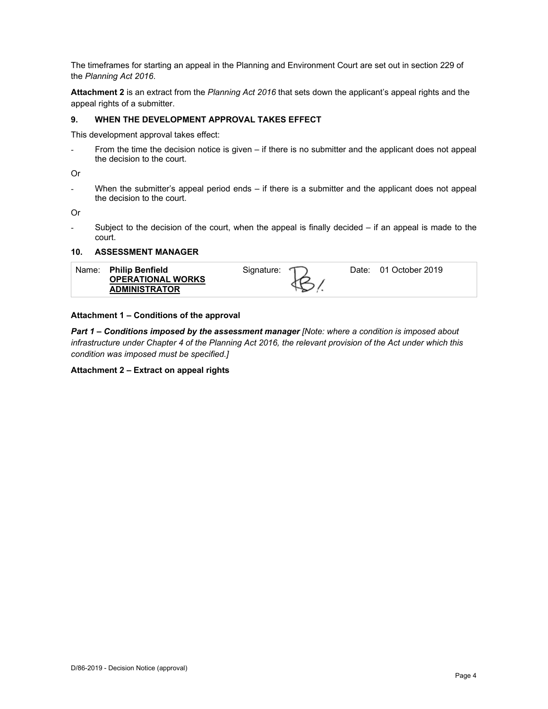The timeframes for starting an appeal in the Planning and Environment Court are set out in section 229 of the *Planning Act 2016*.

**Attachment 2** is an extract from the *Planning Act 2016* that sets down the applicant's appeal rights and the appeal rights of a submitter.

## **9. WHEN THE DEVELOPMENT APPROVAL TAKES EFFECT**

This development approval takes effect:

From the time the decision notice is given  $-$  if there is no submitter and the applicant does not appeal the decision to the court.

Or

- When the submitter's appeal period ends – if there is a submitter and the applicant does not appeal the decision to the court.

Or

Subject to the decision of the court, when the appeal is finally decided  $-$  if an appeal is made to the court.

## **10. ASSESSMENT MANAGER**

|  | Name: Philip Benfield<br><b>OPERATIONAL WORKS</b><br><b>ADMINISTRATOR</b> | Signature: |  | Date: 01 October 2019 |  |
|--|---------------------------------------------------------------------------|------------|--|-----------------------|--|
|--|---------------------------------------------------------------------------|------------|--|-----------------------|--|

### **Attachment 1 – Conditions of the approval**

*Part 1* **–** *Conditions imposed by the assessment manager [Note: where a condition is imposed about infrastructure under Chapter 4 of the Planning Act 2016, the relevant provision of the Act under which this condition was imposed must be specified.]*

#### **Attachment 2 – Extract on appeal rights**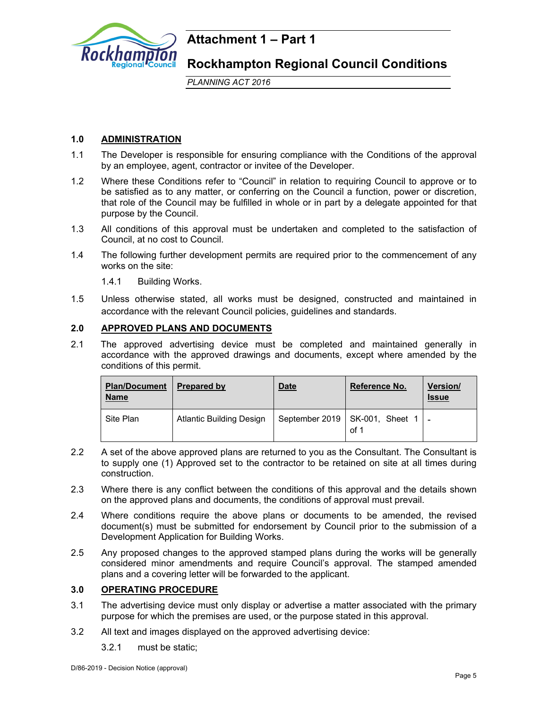

## **Attachment 1 – Part 1**

**Rockhampton Regional Council Conditions** 

*PLANNING ACT 2016*

## **1.0 ADMINISTRATION**

- 1.1 The Developer is responsible for ensuring compliance with the Conditions of the approval by an employee, agent, contractor or invitee of the Developer.
- 1.2 Where these Conditions refer to "Council" in relation to requiring Council to approve or to be satisfied as to any matter, or conferring on the Council a function, power or discretion, that role of the Council may be fulfilled in whole or in part by a delegate appointed for that purpose by the Council.
- 1.3 All conditions of this approval must be undertaken and completed to the satisfaction of Council, at no cost to Council.
- 1.4 The following further development permits are required prior to the commencement of any works on the site:
	- 1.4.1 Building Works.
- 1.5 Unless otherwise stated, all works must be designed, constructed and maintained in accordance with the relevant Council policies, guidelines and standards.

## **2.0 APPROVED PLANS AND DOCUMENTS**

2.1 The approved advertising device must be completed and maintained generally in accordance with the approved drawings and documents, except where amended by the conditions of this permit.

| <b>Plan/Document</b><br><u>Name</u> | Prepared by                     | <b>Date</b> | Reference No.                                | Version/<br><b>Issue</b> |
|-------------------------------------|---------------------------------|-------------|----------------------------------------------|--------------------------|
| Site Plan                           | <b>Atlantic Building Design</b> |             | September 2019   SK-001, Sheet 1   -<br>of 1 |                          |

- 2.2 A set of the above approved plans are returned to you as the Consultant. The Consultant is to supply one (1) Approved set to the contractor to be retained on site at all times during construction.
- 2.3 Where there is any conflict between the conditions of this approval and the details shown on the approved plans and documents, the conditions of approval must prevail.
- 2.4 Where conditions require the above plans or documents to be amended, the revised document(s) must be submitted for endorsement by Council prior to the submission of a Development Application for Building Works.
- 2.5 Any proposed changes to the approved stamped plans during the works will be generally considered minor amendments and require Council's approval. The stamped amended plans and a covering letter will be forwarded to the applicant.

## **3.0 OPERATING PROCEDURE**

- 3.1 The advertising device must only display or advertise a matter associated with the primary purpose for which the premises are used, or the purpose stated in this approval.
- 3.2 All text and images displayed on the approved advertising device:
	- 3.2.1 must be static;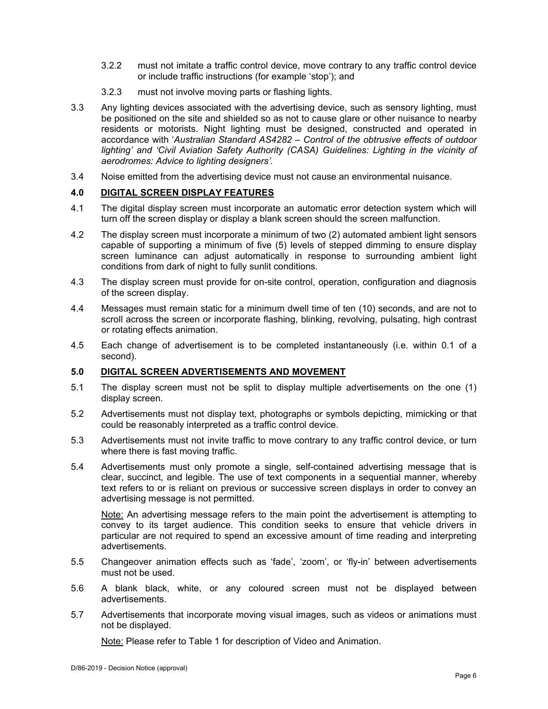- 3.2.2 must not imitate a traffic control device, move contrary to any traffic control device or include traffic instructions (for example 'stop'); and
- 3.2.3 must not involve moving parts or flashing lights.
- 3.3 Any lighting devices associated with the advertising device, such as sensory lighting, must be positioned on the site and shielded so as not to cause glare or other nuisance to nearby residents or motorists. Night lighting must be designed, constructed and operated in accordance with '*Australian Standard AS4282 – Control of the obtrusive effects of outdoor*  lighting' and 'Civil Aviation Safety Authority (CASA) Guidelines: Lighting in the vicinity of *aerodromes: Advice to lighting designers'.*
- 3.4 Noise emitted from the advertising device must not cause an environmental nuisance.

## **4.0 DIGITAL SCREEN DISPLAY FEATURES**

- 4.1 The digital display screen must incorporate an automatic error detection system which will turn off the screen display or display a blank screen should the screen malfunction.
- 4.2 The display screen must incorporate a minimum of two (2) automated ambient light sensors capable of supporting a minimum of five (5) levels of stepped dimming to ensure display screen luminance can adjust automatically in response to surrounding ambient light conditions from dark of night to fully sunlit conditions.
- 4.3 The display screen must provide for on-site control, operation, configuration and diagnosis of the screen display.
- 4.4 Messages must remain static for a minimum dwell time of ten (10) seconds, and are not to scroll across the screen or incorporate flashing, blinking, revolving, pulsating, high contrast or rotating effects animation.
- 4.5 Each change of advertisement is to be completed instantaneously (i.e. within 0.1 of a second).

## **5.0 DIGITAL SCREEN ADVERTISEMENTS AND MOVEMENT**

- 5.1 The display screen must not be split to display multiple advertisements on the one (1) display screen.
- 5.2 Advertisements must not display text, photographs or symbols depicting, mimicking or that could be reasonably interpreted as a traffic control device.
- 5.3 Advertisements must not invite traffic to move contrary to any traffic control device, or turn where there is fast moving traffic.
- 5.4 Advertisements must only promote a single, self-contained advertising message that is clear, succinct, and legible. The use of text components in a sequential manner, whereby text refers to or is reliant on previous or successive screen displays in order to convey an advertising message is not permitted.

Note: An advertising message refers to the main point the advertisement is attempting to convey to its target audience. This condition seeks to ensure that vehicle drivers in particular are not required to spend an excessive amount of time reading and interpreting advertisements.

- 5.5 Changeover animation effects such as 'fade', 'zoom', or 'fly-in' between advertisements must not be used.
- 5.6 A blank black, white, or any coloured screen must not be displayed between advertisements.
- 5.7 Advertisements that incorporate moving visual images, such as videos or animations must not be displayed.

Note: Please refer to Table 1 for description of Video and Animation.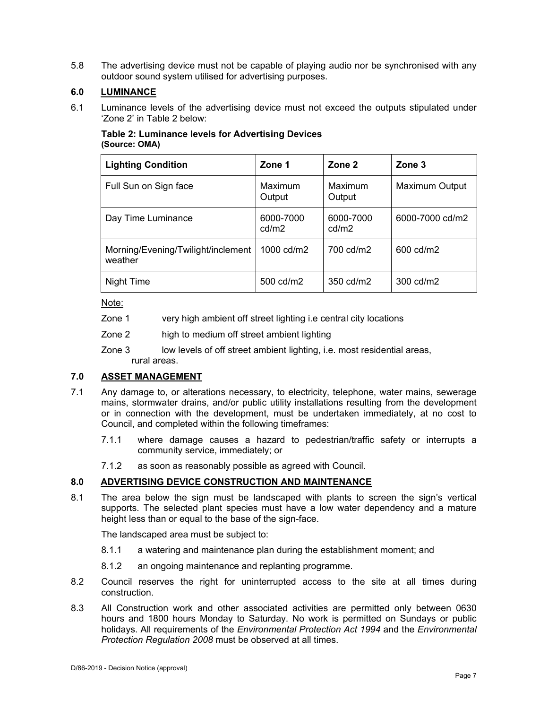5.8 The advertising device must not be capable of playing audio nor be synchronised with any outdoor sound system utilised for advertising purposes.

## **6.0 LUMINANCE**

6.1 Luminance levels of the advertising device must not exceed the outputs stipulated under 'Zone 2' in Table 2 below:

## **Table 2: Luminance levels for Advertising Devices (Source: OMA)**

| <b>Lighting Condition</b>                     | Zone 1             | Zone 2             | Zone 3                |
|-----------------------------------------------|--------------------|--------------------|-----------------------|
| Full Sun on Sign face                         | Maximum<br>Output  | Maximum<br>Output  | <b>Maximum Output</b> |
| Day Time Luminance                            | 6000-7000<br>cd/m2 | 6000-7000<br>cd/m2 | 6000-7000 cd/m2       |
| Morning/Evening/Twilight/inclement<br>weather | 1000 cd/m2         | 700 cd/m2          | 600 cd/m2             |
| Night Time                                    | 500 cd/m2          | 350 cd/m2          | 300 cd/m2             |

## Note:

- Zone 1 very high ambient off street lighting i.e central city locations
- Zone 2 high to medium off street ambient lighting
- Zone 3 low levels of off street ambient lighting, i.e. most residential areas, rural areas.

## **7.0 ASSET MANAGEMENT**

- 7.1 Any damage to, or alterations necessary, to electricity, telephone, water mains, sewerage mains, stormwater drains, and/or public utility installations resulting from the development or in connection with the development, must be undertaken immediately, at no cost to Council, and completed within the following timeframes:
	- 7.1.1 where damage causes a hazard to pedestrian/traffic safety or interrupts a community service, immediately; or
	- 7.1.2 as soon as reasonably possible as agreed with Council.

## **8.0 ADVERTISING DEVICE CONSTRUCTION AND MAINTENANCE**

8.1 The area below the sign must be landscaped with plants to screen the sign's vertical supports. The selected plant species must have a low water dependency and a mature height less than or equal to the base of the sign-face.

The landscaped area must be subject to:

- 8.1.1 a watering and maintenance plan during the establishment moment; and
- 8.1.2 an ongoing maintenance and replanting programme.
- 8.2 Council reserves the right for uninterrupted access to the site at all times during construction.
- 8.3 All Construction work and other associated activities are permitted only between 0630 hours and 1800 hours Monday to Saturday. No work is permitted on Sundays or public holidays. All requirements of the *Environmental Protection Act 1994* and the *Environmental Protection Regulation 2008* must be observed at all times.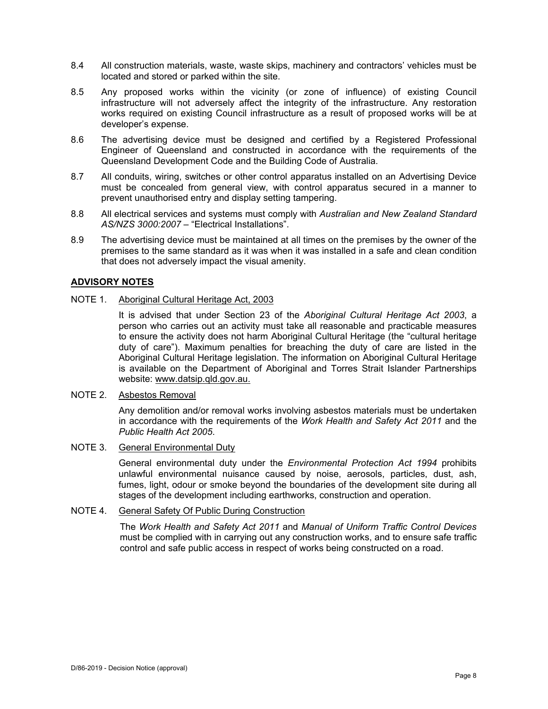- 8.4 All construction materials, waste, waste skips, machinery and contractors' vehicles must be located and stored or parked within the site.
- 8.5 Any proposed works within the vicinity (or zone of influence) of existing Council infrastructure will not adversely affect the integrity of the infrastructure. Any restoration works required on existing Council infrastructure as a result of proposed works will be at developer's expense.
- 8.6 The advertising device must be designed and certified by a Registered Professional Engineer of Queensland and constructed in accordance with the requirements of the Queensland Development Code and the Building Code of Australia.
- 8.7 All conduits, wiring, switches or other control apparatus installed on an Advertising Device must be concealed from general view, with control apparatus secured in a manner to prevent unauthorised entry and display setting tampering.
- 8.8 All electrical services and systems must comply with *Australian and New Zealand Standard AS/NZS 3000:2007* – "Electrical Installations".
- 8.9 The advertising device must be maintained at all times on the premises by the owner of the premises to the same standard as it was when it was installed in a safe and clean condition that does not adversely impact the visual amenity.

## **ADVISORY NOTES**

## NOTE 1. Aboriginal Cultural Heritage Act, 2003

It is advised that under Section 23 of the *Aboriginal Cultural Heritage Act 2003*, a person who carries out an activity must take all reasonable and practicable measures to ensure the activity does not harm Aboriginal Cultural Heritage (the "cultural heritage duty of care"). Maximum penalties for breaching the duty of care are listed in the Aboriginal Cultural Heritage legislation. The information on Aboriginal Cultural Heritage is available on the Department of Aboriginal and Torres Strait Islander Partnerships website: www.datsip.qld.gov.au.

## NOTE 2. Asbestos Removal

Any demolition and/or removal works involving asbestos materials must be undertaken in accordance with the requirements of the *Work Health and Safety Act 2011* and the *Public Health Act 2005*.

## NOTE 3. General Environmental Duty

General environmental duty under the *Environmental Protection Act 1994* prohibits unlawful environmental nuisance caused by noise, aerosols, particles, dust, ash, fumes, light, odour or smoke beyond the boundaries of the development site during all stages of the development including earthworks, construction and operation.

## NOTE 4. General Safety Of Public During Construction

The *Work Health and Safety Act 2011* and *Manual of Uniform Traffic Control Devices* must be complied with in carrying out any construction works, and to ensure safe traffic control and safe public access in respect of works being constructed on a road.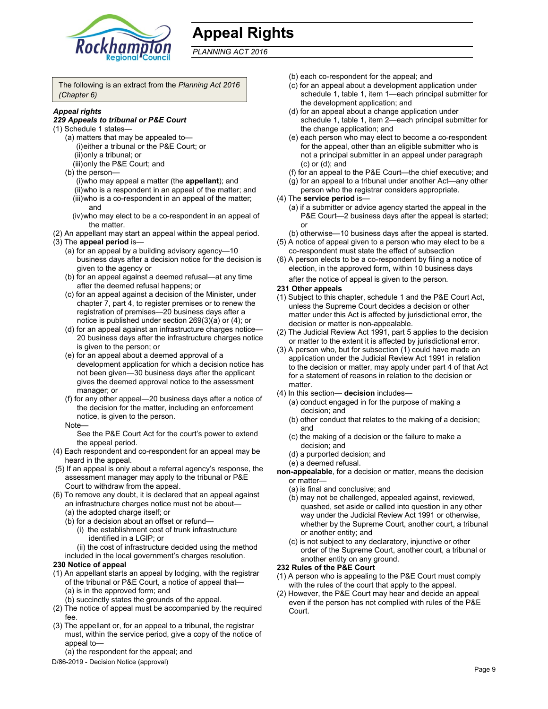

# **Appeal Rights**

*PLANNING ACT 2016*

The following is an extract from the *Planning Act 2016 (Chapter 6)*

#### *Appeal rights*

#### *229 Appeals to tribunal or P&E Court*

- (1) Schedule 1 states—
	- (a) matters that may be appealed to— (i) either a tribunal or the P&E Court; or (ii) only a tribunal; or
	- (iii) only the P&E Court; and
	- (b) the person—
		- (i) who may appeal a matter (the **appellant**); and
		- (ii) who is a respondent in an appeal of the matter; and (iii) who is a co-respondent in an appeal of the matter; and
		- (iv) who may elect to be a co-respondent in an appeal of the matter.
- (2) An appellant may start an appeal within the appeal period. (3) The **appeal period** is—
	- (a) for an appeal by a building advisory agency—10 business days after a decision notice for the decision is given to the agency or
	- (b) for an appeal against a deemed refusal—at any time after the deemed refusal happens; or
	- (c) for an appeal against a decision of the Minister, under chapter 7, part 4, to register premises or to renew the registration of premises—20 business days after a notice is published under section 269(3)(a) or (4); or
	- (d) for an appeal against an infrastructure charges notice— 20 business days after the infrastructure charges notice is given to the person; or
	- (e) for an appeal about a deemed approval of a development application for which a decision notice has not been given—30 business days after the applicant gives the deemed approval notice to the assessment manager; or
	- (f) for any other appeal—20 business days after a notice of the decision for the matter, including an enforcement notice, is given to the person.
	- Note—

See the P&E Court Act for the court's power to extend the appeal period.

- (4) Each respondent and co-respondent for an appeal may be heard in the appeal.
- (5) If an appeal is only about a referral agency's response, the assessment manager may apply to the tribunal or P&E Court to withdraw from the appeal.
- (6) To remove any doubt, it is declared that an appeal against an infrastructure charges notice must not be about—
	- (a) the adopted charge itself; or
	- (b) for a decision about an offset or refund—
		- (i) the establishment cost of trunk infrastructure identified in a LGIP; or

(ii) the cost of infrastructure decided using the method

included in the local government's charges resolution.

#### **230 Notice of appeal**

- (1) An appellant starts an appeal by lodging, with the registrar of the tribunal or P&E Court, a notice of appeal that— (a) is in the approved form; and
	- (b) succinctly states the grounds of the appeal.
- (2) The notice of appeal must be accompanied by the required fee.
- (3) The appellant or, for an appeal to a tribunal, the registrar must, within the service period, give a copy of the notice of appeal to—
	- (a) the respondent for the appeal; and
- D/86-2019 Decision Notice (approval)
- (b) each co-respondent for the appeal; and
- (c) for an appeal about a development application under schedule 1, table 1, item 1—each principal submitter for the development application; and
- (d) for an appeal about a change application under schedule 1, table 1, item 2—each principal submitter for the change application; and
- (e) each person who may elect to become a co-respondent for the appeal, other than an eligible submitter who is not a principal submitter in an appeal under paragraph (c) or (d); and
- (f) for an appeal to the P&E Court—the chief executive; and
- (g) for an appeal to a tribunal under another Act—any other person who the registrar considers appropriate.
- (4) The **service period** is—
	- (a) if a submitter or advice agency started the appeal in the P&E Court—2 business days after the appeal is started; or
	- (b) otherwise—10 business days after the appeal is started.
- (5) A notice of appeal given to a person who may elect to be a co-respondent must state the effect of subsection
- (6) A person elects to be a co-respondent by filing a notice of election, in the approved form, within 10 business days after the notice of appeal is given to the person*.*

## **231 Other appeals**

- (1) Subject to this chapter, schedule 1 and the P&E Court Act, unless the Supreme Court decides a decision or other matter under this Act is affected by jurisdictional error, the decision or matter is non-appealable.
- (2) The Judicial Review Act 1991, part 5 applies to the decision or matter to the extent it is affected by jurisdictional error.
- (3) A person who, but for subsection (1) could have made an application under the Judicial Review Act 1991 in relation to the decision or matter, may apply under part 4 of that Act for a statement of reasons in relation to the decision or matter.
- (4) In this section— **decision** includes—
	- (a) conduct engaged in for the purpose of making a decision; and
	- (b) other conduct that relates to the making of a decision; and
	- (c) the making of a decision or the failure to make a decision; and
	- (d) a purported decision; and
	- (e) a deemed refusal.

**non-appealable**, for a decision or matter, means the decision or matter—

- (a) is final and conclusive; and
- (b) may not be challenged, appealed against, reviewed, quashed, set aside or called into question in any other way under the Judicial Review Act 1991 or otherwise, whether by the Supreme Court, another court, a tribunal or another entity; and
- (c) is not subject to any declaratory, injunctive or other order of the Supreme Court, another court, a tribunal or another entity on any ground.

## **232 Rules of the P&E Court**

- (1) A person who is appealing to the P&E Court must comply with the rules of the court that apply to the appeal.
- (2) However, the P&E Court may hear and decide an appeal even if the person has not complied with rules of the P&E Court.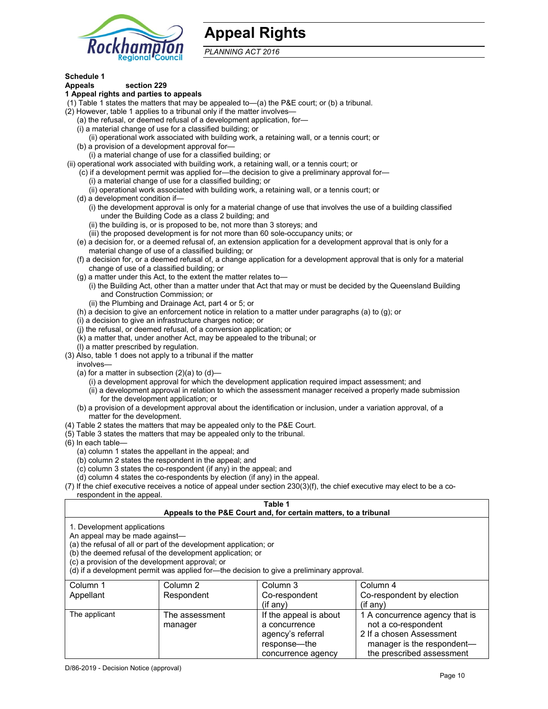

## **Appeal Rights**

*PLANNING ACT 2016*

## **Schedule 1**

#### **Appeals section 229 1 Appeal rights and parties to appeals**

- (1) Table 1 states the matters that may be appealed to—(a) the P&E court; or (b) a tribunal.
- (2) However, table 1 applies to a tribunal only if the matter involves—
	- (a) the refusal, or deemed refusal of a development application, for—
	- (i) a material change of use for a classified building; or
	- (ii) operational work associated with building work, a retaining wall, or a tennis court; or
	- (b) a provision of a development approval for—
	- (i) a material change of use for a classified building; or
- (ii) operational work associated with building work, a retaining wall, or a tennis court; or
	- (c) if a development permit was applied for—the decision to give a preliminary approval for—
		- (i) a material change of use for a classified building; or
		- (ii) operational work associated with building work, a retaining wall, or a tennis court; or
	- (d) a development condition if—
		- (i) the development approval is only for a material change of use that involves the use of a building classified under the Building Code as a class 2 building; and
		- (ii) the building is, or is proposed to be, not more than 3 storeys; and
		- (iii) the proposed development is for not more than 60 sole-occupancy units; or
	- (e) a decision for, or a deemed refusal of, an extension application for a development approval that is only for a material change of use of a classified building; or
	- (f) a decision for, or a deemed refusal of, a change application for a development approval that is only for a material change of use of a classified building; or
	- (g) a matter under this Act, to the extent the matter relates to—
		- (i) the Building Act, other than a matter under that Act that may or must be decided by the Queensland Building and Construction Commission; or
		- (ii) the Plumbing and Drainage Act, part 4 or 5; or
	- (h) a decision to give an enforcement notice in relation to a matter under paragraphs (a) to (g); or
	- (i) a decision to give an infrastructure charges notice; or
	- (j) the refusal, or deemed refusal, of a conversion application; or
	- (k) a matter that, under another Act, may be appealed to the tribunal; or
	- (l) a matter prescribed by regulation.
- (3) Also, table 1 does not apply to a tribunal if the matter
- involves—
	- (a) for a matter in subsection  $(2)(a)$  to  $(d)$ 
		- (i) a development approval for which the development application required impact assessment; and
		- (ii) a development approval in relation to which the assessment manager received a properly made submission for the development application; or
	- (b) a provision of a development approval about the identification or inclusion, under a variation approval, of a matter for the development.
- (4) Table 2 states the matters that may be appealed only to the P&E Court.
- (5) Table 3 states the matters that may be appealed only to the tribunal.
- (6) In each table—
	- (a) column 1 states the appellant in the appeal; and
	- (b) column 2 states the respondent in the appeal; and
	- (c) column 3 states the co-respondent (if any) in the appeal; and
	- (d) column 4 states the co-respondents by election (if any) in the appeal.
- (7) If the chief executive receives a notice of appeal under section 230(3)(f), the chief executive may elect to be a corespondent in the appeal.

## **Table 1**

## **Appeals to the P&E Court and, for certain matters, to a tribunal**

1. Development applications

An appeal may be made against—

(a) the refusal of all or part of the development application; or

(b) the deemed refusal of the development application; or

(c) a provision of the development approval; or

(d) if a development permit was applied for—the decision to give a preliminary approval.

| Column 1      | Column 2       | Column 3               | Column 4                       |
|---------------|----------------|------------------------|--------------------------------|
| Appellant     | Respondent     | Co-respondent          | Co-respondent by election      |
|               |                | $($ if any $)$         | $($ if any $)$                 |
| The applicant | The assessment | If the appeal is about | 1 A concurrence agency that is |
|               | manager        | a concurrence          | not a co-respondent            |
|               |                | agency's referral      | 2 If a chosen Assessment       |
|               |                | response—the           | manager is the respondent-     |
|               |                | concurrence agency     | the prescribed assessment      |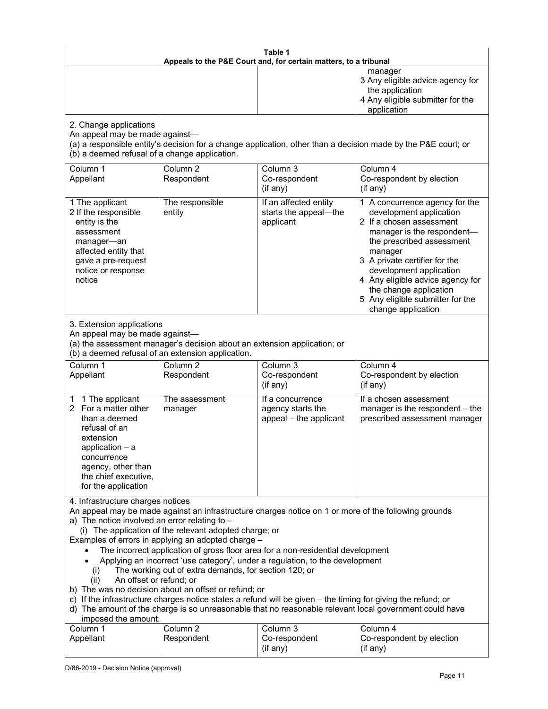| Table 1<br>Appeals to the P&E Court and, for certain matters, to a tribunal                                                                                                                                                                                                                                                                                                                                                                                                                                                                                                                                                                                                                                                                                                                                                                                                                 |                                   |                                                                 |                                                                                                                                                                                                                                                                                                                                                 |
|---------------------------------------------------------------------------------------------------------------------------------------------------------------------------------------------------------------------------------------------------------------------------------------------------------------------------------------------------------------------------------------------------------------------------------------------------------------------------------------------------------------------------------------------------------------------------------------------------------------------------------------------------------------------------------------------------------------------------------------------------------------------------------------------------------------------------------------------------------------------------------------------|-----------------------------------|-----------------------------------------------------------------|-------------------------------------------------------------------------------------------------------------------------------------------------------------------------------------------------------------------------------------------------------------------------------------------------------------------------------------------------|
|                                                                                                                                                                                                                                                                                                                                                                                                                                                                                                                                                                                                                                                                                                                                                                                                                                                                                             |                                   |                                                                 | manager<br>3 Any eligible advice agency for<br>the application<br>4 Any eligible submitter for the<br>application                                                                                                                                                                                                                               |
| 2. Change applications<br>An appeal may be made against-<br>(a) a responsible entity's decision for a change application, other than a decision made by the P&E court; or<br>(b) a deemed refusal of a change application.                                                                                                                                                                                                                                                                                                                                                                                                                                                                                                                                                                                                                                                                  |                                   |                                                                 |                                                                                                                                                                                                                                                                                                                                                 |
| Column 1<br>Appellant                                                                                                                                                                                                                                                                                                                                                                                                                                                                                                                                                                                                                                                                                                                                                                                                                                                                       | Column <sub>2</sub><br>Respondent | Column 3<br>Co-respondent<br>(if any)                           | Column 4<br>Co-respondent by election<br>(if any)                                                                                                                                                                                                                                                                                               |
| 1 The applicant<br>2 If the responsible<br>entity is the<br>assessment<br>manager-an<br>affected entity that<br>gave a pre-request<br>notice or response<br>notice                                                                                                                                                                                                                                                                                                                                                                                                                                                                                                                                                                                                                                                                                                                          | The responsible<br>entity         | If an affected entity<br>starts the appeal-the<br>applicant     | 1 A concurrence agency for the<br>development application<br>2 If a chosen assessment<br>manager is the respondent-<br>the prescribed assessment<br>manager<br>3 A private certifier for the<br>development application<br>4 Any eligible advice agency for<br>the change application<br>5 Any eligible submitter for the<br>change application |
| 3. Extension applications<br>An appeal may be made against-<br>(a) the assessment manager's decision about an extension application; or<br>(b) a deemed refusal of an extension application.                                                                                                                                                                                                                                                                                                                                                                                                                                                                                                                                                                                                                                                                                                |                                   |                                                                 |                                                                                                                                                                                                                                                                                                                                                 |
| Column 1<br>Appellant                                                                                                                                                                                                                                                                                                                                                                                                                                                                                                                                                                                                                                                                                                                                                                                                                                                                       | Column <sub>2</sub><br>Respondent | Column 3<br>Co-respondent<br>(if any)                           | Column 4<br>Co-respondent by election<br>(if any)                                                                                                                                                                                                                                                                                               |
| 1 The applicant<br>1<br>2 For a matter other<br>than a deemed<br>refusal of an<br>extension<br>application $-$ a<br>concurrence<br>agency, other than<br>the chief executive,<br>for the application                                                                                                                                                                                                                                                                                                                                                                                                                                                                                                                                                                                                                                                                                        | The assessment<br>manager         | If a concurrence<br>agency starts the<br>appeal - the applicant | If a chosen assessment<br>manager is the respondent - the<br>prescribed assessment manager                                                                                                                                                                                                                                                      |
| 4. Infrastructure charges notices<br>An appeal may be made against an infrastructure charges notice on 1 or more of the following grounds<br>a) The notice involved an error relating to $-$<br>(i) The application of the relevant adopted charge; or<br>Examples of errors in applying an adopted charge -<br>The incorrect application of gross floor area for a non-residential development<br>Applying an incorrect 'use category', under a regulation, to the development<br>The working out of extra demands, for section 120; or<br>(i)<br>An offset or refund; or<br>(ii)<br>b) The was no decision about an offset or refund; or<br>c) If the infrastructure charges notice states a refund will be given - the timing for giving the refund; or<br>d) The amount of the charge is so unreasonable that no reasonable relevant local government could have<br>imposed the amount. |                                   |                                                                 |                                                                                                                                                                                                                                                                                                                                                 |
| Column 1<br>Appellant                                                                                                                                                                                                                                                                                                                                                                                                                                                                                                                                                                                                                                                                                                                                                                                                                                                                       | Column <sub>2</sub><br>Respondent | Column 3<br>Co-respondent<br>(if any)                           | Column 4<br>Co-respondent by election<br>(if any)                                                                                                                                                                                                                                                                                               |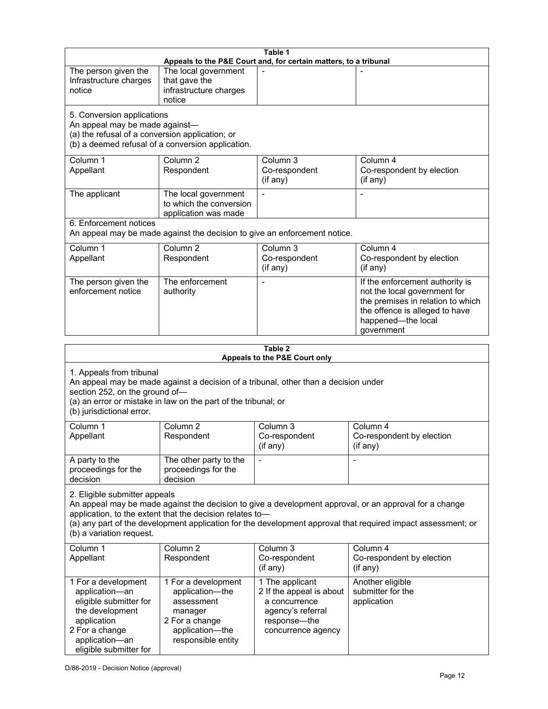| Table 1<br>Appeals to the P&E Court and, for certain matters, to a tribunal                                                                                                                                                                                                                                                                     |                                                                                                      |                                                                                                                         |                                                                                                                                                                            |
|-------------------------------------------------------------------------------------------------------------------------------------------------------------------------------------------------------------------------------------------------------------------------------------------------------------------------------------------------|------------------------------------------------------------------------------------------------------|-------------------------------------------------------------------------------------------------------------------------|----------------------------------------------------------------------------------------------------------------------------------------------------------------------------|
| The person given the<br>Infrastructure charges<br>notice                                                                                                                                                                                                                                                                                        | The local government<br>that gave the<br>infrastructure charges<br>notice                            |                                                                                                                         |                                                                                                                                                                            |
| 5. Conversion applications<br>An appeal may be made against-<br>(a) the refusal of a conversion application; or                                                                                                                                                                                                                                 | (b) a deemed refusal of a conversion application.                                                    |                                                                                                                         |                                                                                                                                                                            |
| Column 1<br>Appellant                                                                                                                                                                                                                                                                                                                           | Column <sub>2</sub><br>Respondent                                                                    | Column 3<br>Co-respondent<br>(if any)                                                                                   | Column 4<br>Co-respondent by election<br>(if any)                                                                                                                          |
| The applicant                                                                                                                                                                                                                                                                                                                                   | The local government<br>to which the conversion<br>application was made                              |                                                                                                                         |                                                                                                                                                                            |
| 6. Enforcement notices                                                                                                                                                                                                                                                                                                                          | An appeal may be made against the decision to give an enforcement notice.                            |                                                                                                                         |                                                                                                                                                                            |
| Column 1<br>Appellant                                                                                                                                                                                                                                                                                                                           | Column <sub>2</sub><br>Respondent                                                                    | Column 3<br>Co-respondent<br>(if any)                                                                                   | Column 4<br>Co-respondent by election<br>(if any)                                                                                                                          |
| The person given the<br>enforcement notice                                                                                                                                                                                                                                                                                                      | The enforcement<br>authority                                                                         |                                                                                                                         | If the enforcement authority is<br>not the local government for<br>the premises in relation to which<br>the offence is alleged to have<br>happened-the local<br>government |
|                                                                                                                                                                                                                                                                                                                                                 |                                                                                                      |                                                                                                                         |                                                                                                                                                                            |
|                                                                                                                                                                                                                                                                                                                                                 |                                                                                                      | Table 2<br>Appeals to the P&E Court only                                                                                |                                                                                                                                                                            |
| 1. Appeals from tribunal<br>An appeal may be made against a decision of a tribunal, other than a decision under<br>section 252, on the ground of-<br>(a) an error or mistake in law on the part of the tribunal; or<br>(b) jurisdictional error.                                                                                                |                                                                                                      |                                                                                                                         |                                                                                                                                                                            |
| Column 1<br>Appellant                                                                                                                                                                                                                                                                                                                           | Column <sub>2</sub><br>Respondent                                                                    | Column 3<br>Co-respondent<br>(if any)                                                                                   | Column 4<br>Co-respondent by election<br>(if any)                                                                                                                          |
| A party to the<br>proceedings for the<br>decision                                                                                                                                                                                                                                                                                               | The other party to the<br>proceedings for the<br>decision                                            |                                                                                                                         |                                                                                                                                                                            |
| 2. Eligible submitter appeals<br>An appeal may be made against the decision to give a development approval, or an approval for a change<br>application, to the extent that the decision relates to-<br>(a) any part of the development application for the development approval that required impact assessment; or<br>(b) a variation request. |                                                                                                      |                                                                                                                         |                                                                                                                                                                            |
| Column <sub>1</sub><br>Appellant                                                                                                                                                                                                                                                                                                                | Column <sub>2</sub><br>Respondent                                                                    | Column 3<br>Co-respondent<br>(if any)                                                                                   | Column 4<br>Co-respondent by election<br>(if any)                                                                                                                          |
| 1 For a development<br>application-an<br>eligible submitter for<br>the development<br>application<br>2 For a change                                                                                                                                                                                                                             | 1 For a development<br>application-the<br>assessment<br>manager<br>2 For a change<br>application-the | 1 The applicant<br>2 If the appeal is about<br>a concurrence<br>agency's referral<br>response-the<br>concurrence agency | Another eligible<br>submitter for the<br>application                                                                                                                       |

responsible entity

application—an eligible submitter for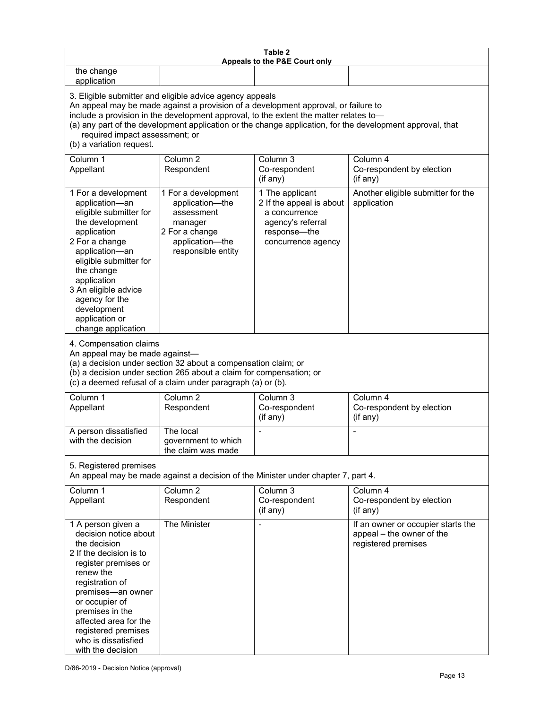| Table 2<br>Appeals to the P&E Court only                                                                                                                                                                                                                                                                                                                                                                           |                                                                                                                            |                                                                                                                         |                                                                                        |
|--------------------------------------------------------------------------------------------------------------------------------------------------------------------------------------------------------------------------------------------------------------------------------------------------------------------------------------------------------------------------------------------------------------------|----------------------------------------------------------------------------------------------------------------------------|-------------------------------------------------------------------------------------------------------------------------|----------------------------------------------------------------------------------------|
| the change<br>application                                                                                                                                                                                                                                                                                                                                                                                          |                                                                                                                            |                                                                                                                         |                                                                                        |
| 3. Eligible submitter and eligible advice agency appeals<br>An appeal may be made against a provision of a development approval, or failure to<br>include a provision in the development approval, to the extent the matter relates to-<br>(a) any part of the development application or the change application, for the development approval, that<br>required impact assessment; or<br>(b) a variation request. |                                                                                                                            |                                                                                                                         |                                                                                        |
| Column 1<br>Appellant                                                                                                                                                                                                                                                                                                                                                                                              | Column <sub>2</sub><br>Respondent                                                                                          | Column 3<br>Co-respondent<br>(if any)                                                                                   | Column 4<br>Co-respondent by election<br>(if any)                                      |
| 1 For a development<br>application-an<br>eligible submitter for<br>the development<br>application<br>2 For a change<br>application-an<br>eligible submitter for<br>the change<br>application<br>3 An eligible advice<br>agency for the<br>development<br>application or<br>change application                                                                                                                      | 1 For a development<br>application-the<br>assessment<br>manager<br>2 For a change<br>application-the<br>responsible entity | 1 The applicant<br>2 If the appeal is about<br>a concurrence<br>agency's referral<br>response-the<br>concurrence agency | Another eligible submitter for the<br>application                                      |
| 4. Compensation claims<br>An appeal may be made against-<br>(a) a decision under section 32 about a compensation claim; or<br>(b) a decision under section 265 about a claim for compensation; or<br>(c) a deemed refusal of a claim under paragraph (a) or (b).                                                                                                                                                   |                                                                                                                            |                                                                                                                         |                                                                                        |
| Column <sub>1</sub><br>Appellant                                                                                                                                                                                                                                                                                                                                                                                   | Column <sub>2</sub><br>Respondent                                                                                          | Column 3<br>Co-respondent<br>(if any)                                                                                   | Column 4<br>Co-respondent by election<br>(if any)                                      |
| A person dissatisfied<br>with the decision                                                                                                                                                                                                                                                                                                                                                                         | The local<br>government to which<br>the claim was made                                                                     |                                                                                                                         |                                                                                        |
| 5. Registered premises<br>An appeal may be made against a decision of the Minister under chapter 7, part 4.                                                                                                                                                                                                                                                                                                        |                                                                                                                            |                                                                                                                         |                                                                                        |
| Column 1<br>Appellant                                                                                                                                                                                                                                                                                                                                                                                              | Column <sub>2</sub><br>Respondent                                                                                          | Column 3<br>Co-respondent<br>(i f any)                                                                                  | Column 4<br>Co-respondent by election<br>(if any)                                      |
| 1 A person given a<br>decision notice about<br>the decision<br>2 If the decision is to<br>register premises or<br>renew the<br>registration of<br>premises-an owner<br>or occupier of<br>premises in the<br>affected area for the<br>registered premises<br>who is dissatisfied<br>with the decision                                                                                                               | The Minister                                                                                                               |                                                                                                                         | If an owner or occupier starts the<br>appeal - the owner of the<br>registered premises |